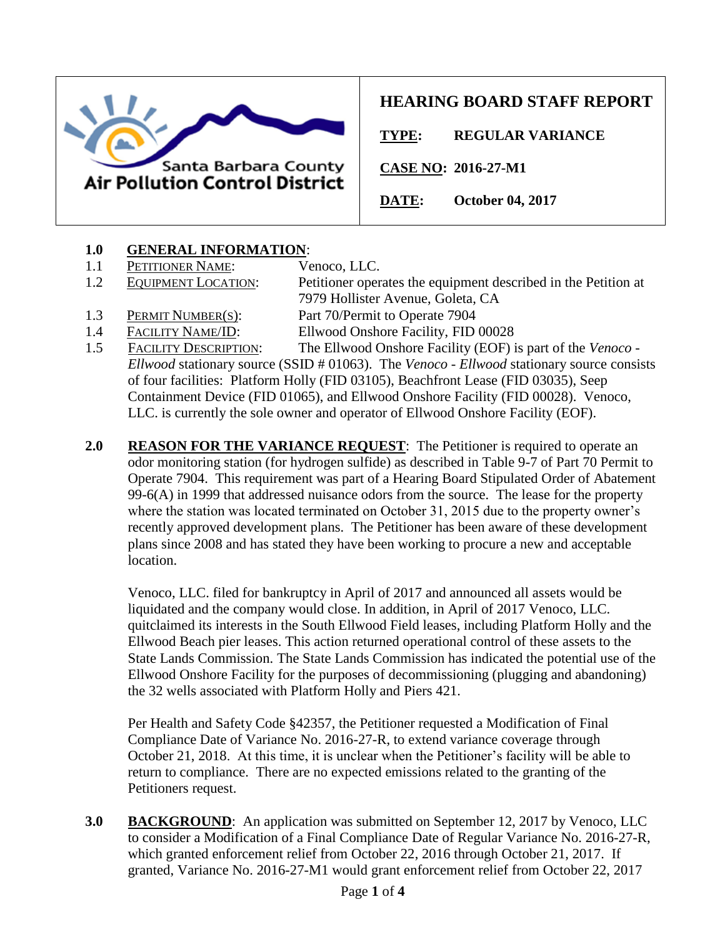

# **HEARING BOARD STAFF REPORT**

**TYPE: REGULAR VARIANCE**

**CASE NO: 2016-27-M1**

**DATE: October 04, 2017**

# **1.0 GENERAL INFORMATION**:

- 1.1 PETITIONER NAME: Venoco, LLC.
- 1.2 EQUIPMENT LOCATION: Petitioner operates the equipment described in the Petition at

- 
- 7979 Hollister Avenue, Goleta, CA 1.3 PERMIT NUMBER(S): Part 70/Permit to Operate 7904
- 1.4 FACILITY NAME/ID: Ellwood Onshore Facility, FID 00028
- 
- 1.5 FACILITY DESCRIPTION: The Ellwood Onshore Facility (EOF) is part of the *Venoco - Ellwood* stationary source (SSID # 01063). The *Venoco - Ellwood* stationary source consists of four facilities: Platform Holly (FID 03105), Beachfront Lease (FID 03035), Seep Containment Device (FID 01065), and Ellwood Onshore Facility (FID 00028). Venoco, LLC. is currently the sole owner and operator of Ellwood Onshore Facility (EOF).
- **2.0 REASON FOR THE VARIANCE REQUEST**: The Petitioner is required to operate an odor monitoring station (for hydrogen sulfide) as described in Table 9-7 of Part 70 Permit to Operate 7904. This requirement was part of a Hearing Board Stipulated Order of Abatement 99-6(A) in 1999 that addressed nuisance odors from the source. The lease for the property where the station was located terminated on October 31, 2015 due to the property owner's recently approved development plans. The Petitioner has been aware of these development plans since 2008 and has stated they have been working to procure a new and acceptable location.

Venoco, LLC. filed for bankruptcy in April of 2017 and announced all assets would be liquidated and the company would close. In addition, in April of 2017 Venoco, LLC. quitclaimed its interests in the South Ellwood Field leases, including Platform Holly and the Ellwood Beach pier leases. This action returned operational control of these assets to the State Lands Commission. The State Lands Commission has indicated the potential use of the Ellwood Onshore Facility for the purposes of decommissioning (plugging and abandoning) the 32 wells associated with Platform Holly and Piers 421.

Per Health and Safety Code §42357, the Petitioner requested a Modification of Final Compliance Date of Variance No. 2016-27-R, to extend variance coverage through October 21, 2018. At this time, it is unclear when the Petitioner's facility will be able to return to compliance. There are no expected emissions related to the granting of the Petitioners request.

**3.0 BACKGROUND**: An application was submitted on September 12, 2017 by Venoco, LLC to consider a Modification of a Final Compliance Date of Regular Variance No. 2016-27-R, which granted enforcement relief from October 22, 2016 through October 21, 2017. If granted, Variance No. 2016-27-M1 would grant enforcement relief from October 22, 2017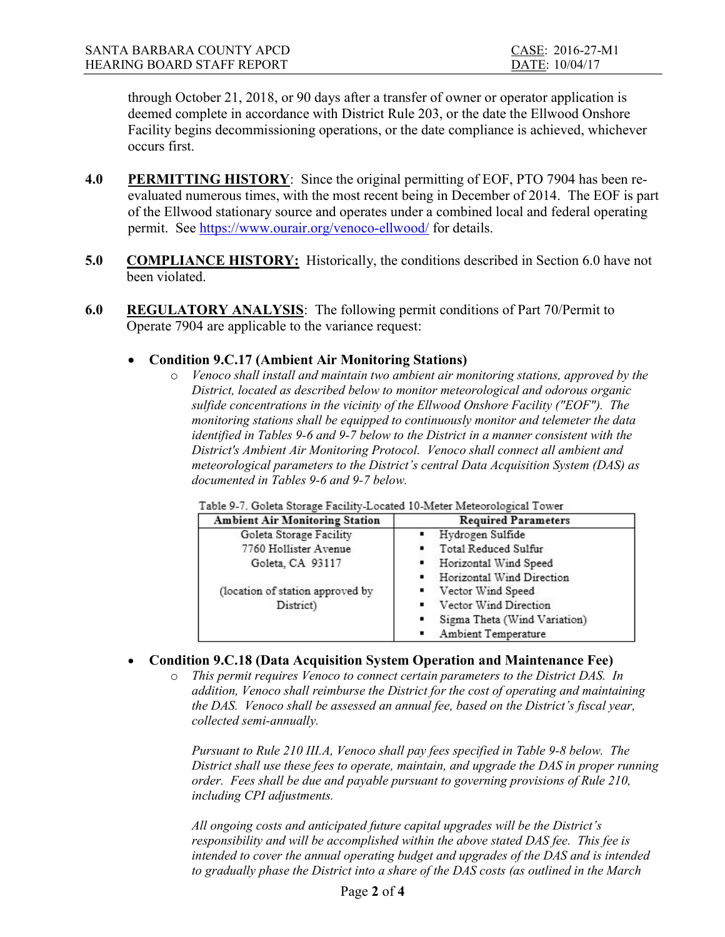through October 21, 2018, or 90 days after a transfer of owner or operator application is deemed complete in accordance with District Rule 203, or the date the Ellwood Onshore Facility begins decommissioning operations, or the date compliance is achieved, whichever occurs first.

- 4.0 PERMITTING HISTORY: Since the original permitting of EOF, PTO 7904 has been reevaluated numerous times, with the most recent being in December of 2014. The EOF is part of the Ellwood stationary source and operates under a combined local and federal operating permit. See https://www.ourair.org/venoco-ellwood/ for details.
- 5.0 COMPLIANCE HISTORY: Historically, the conditions described in Section 6.0 have not been violated.
- 6.0 REGULATORY ANALYSIS: The following permit conditions of Part 70/Permit to Operate 7904 are applicable to the variance request:

# Condition 9.C.17 (Ambient Air Monitoring Stations)

o Venoco shall install and maintain two ambient air monitoring stations, approved by the District, located as described below to monitor meteorological and odorous organic sulfide concentrations in the vicinity of the Ellwood Onshore Facility ("EOF"). The monitoring stations shall be equipped to continuously monitor and telemeter the data identified in Tables 9-6 and 9-7 below to the District in a manner consistent with the District's Ambient Air Monitoring Protocol. Venoco shall connect all ambient and meteorological parameters to the District's central Data Acquisition System (DAS) as documented in Tables 9-6 and 9-7 below.

| <b>Ambient Air Monitoring Station</b> | <b>Required Parameters</b>        |  |
|---------------------------------------|-----------------------------------|--|
| Goleta Storage Facility               | Hydrogen Sulfide                  |  |
| 7760 Hollister Avenue                 | Total Reduced Sulfur              |  |
| Goleta, CA 93117                      | Horizontal Wind Speed             |  |
|                                       | Horizontal Wind Direction         |  |
| (location of station approved by      | Vector Wind Speed                 |  |
| District)                             | Vector Wind Direction             |  |
|                                       | Sigma Theta (Wind Variation)<br>٠ |  |
|                                       | Ambient Temperature               |  |

Table 0.7, Goletz Storage Facility I ocated 10 Meter Meteorological Tower

# Condition 9.C.18 (Data Acquisition System Operation and Maintenance Fee)

o This permit requires Venoco to connect certain parameters to the District DAS. In addition, Venoco shall reimburse the District for the cost of operating and maintaining the DAS. Venoco shall be assessed an annual fee, based on the District's fiscal year, collected semi-annually.

Pursuant to Rule 210 III.A, Venoco shall pay fees specified in Table 9-8 below. The District shall use these fees to operate, maintain, and upgrade the DAS in proper running order. Fees shall be due and payable pursuant to governing provisions of Rule 210, including CPI adjustments.

All ongoing costs and anticipated future capital upgrades will be the District's responsibility and will be accomplished within the above stated DAS fee. This fee is intended to cover the annual operating budget and upgrades of the DAS and is intended to gradually phase the District into a share of the DAS costs (as outlined in the March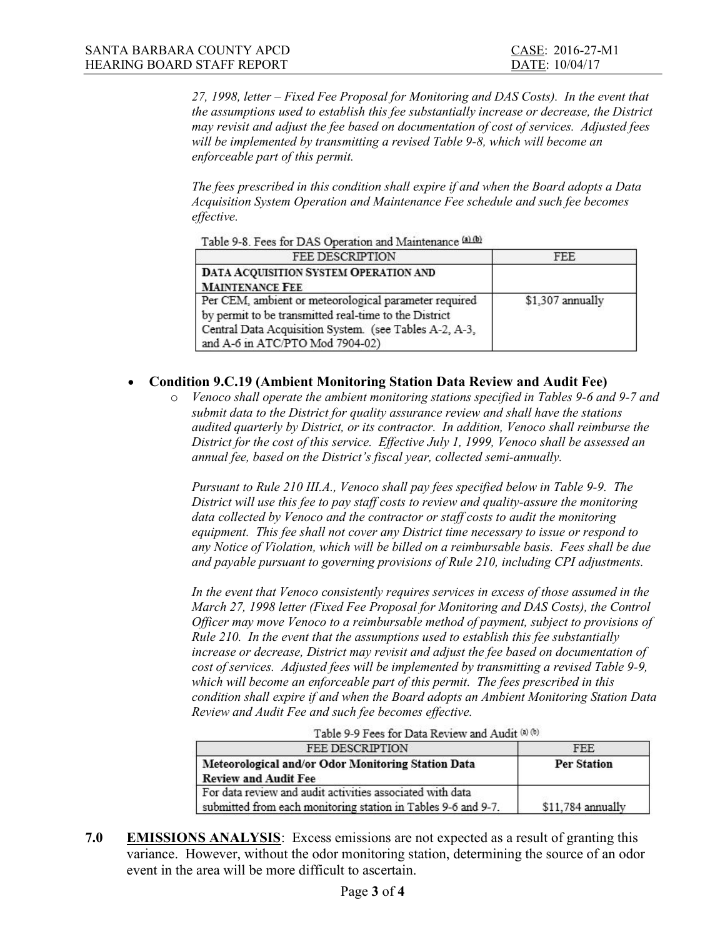27, 1998, letter – Fixed Fee Proposal for Monitoring and DAS Costs). In the event that the assumptions used to establish this fee substantially increase or decrease, the District may revisit and adjust the fee based on documentation of cost of services. Adjusted fees will be implemented by transmitting a revised Table 9-8, which will become an enforceable part of this permit.

The fees prescribed in this condition shall expire if and when the Board adopts a Data Acquisition System Operation and Maintenance Fee schedule and such fee becomes effective.

| <b>FEE DESCRIPTION</b>                                 | FEE.             |
|--------------------------------------------------------|------------------|
| DATA ACQUISITION SYSTEM OPERATION AND                  |                  |
| <b>MAINTENANCE FEE</b>                                 |                  |
| Per CEM, ambient or meteorological parameter required  | \$1,307 annually |
| by permit to be transmitted real-time to the District  |                  |
| Central Data Acquisition System. (see Tables A-2, A-3, |                  |
| and A-6 in ATC/PTO Mod 7904-02)                        |                  |

### Table 9-8. Fees for DAS Operation and Maintenance (a) (b)

## Condition 9.C.19 (Ambient Monitoring Station Data Review and Audit Fee)

o Venoco shall operate the ambient monitoring stations specified in Tables 9-6 and 9-7 and submit data to the District for quality assurance review and shall have the stations audited quarterly by District, or its contractor. In addition, Venoco shall reimburse the District for the cost of this service. Effective July 1, 1999, Venoco shall be assessed an annual fee, based on the District's fiscal year, collected semi-annually.

Pursuant to Rule 210 III.A., Venoco shall pay fees specified below in Table 9-9. The District will use this fee to pay staff costs to review and quality-assure the monitoring data collected by Venoco and the contractor or staff costs to audit the monitoring equipment. This fee shall not cover any District time necessary to issue or respond to any Notice of Violation, which will be billed on a reimbursable basis. Fees shall be due and payable pursuant to governing provisions of Rule 210, including CPI adjustments.

In the event that Venoco consistently requires services in excess of those assumed in the March 27, 1998 letter (Fixed Fee Proposal for Monitoring and DAS Costs), the Control Officer may move Venoco to a reimbursable method of payment, subject to provisions of Rule 210. In the event that the assumptions used to establish this fee substantially increase or decrease, District may revisit and adjust the fee based on documentation of cost of services. Adjusted fees will be implemented by transmitting a revised Table 9-9, which will become an enforceable part of this permit. The fees prescribed in this condition shall expire if and when the Board adopts an Ambient Monitoring Station Data Review and Audit Fee and such fee becomes effective.

| FEE DESCRIPTION                                                                                                            | <b>FEE</b>         |
|----------------------------------------------------------------------------------------------------------------------------|--------------------|
| Meteorological and/or Odor Monitoring Station Data<br><b>Review and Audit Fee</b>                                          | <b>Per Station</b> |
| For data review and audit activities associated with data<br>submitted from each monitoring station in Tables 9-6 and 9-7. | $$11,784$ annually |

- Table 9-9 Fees for Data Review and Audit (a) (b)
- 7.0 EMISSIONS ANALYSIS: Excess emissions are not expected as a result of granting this variance. However, without the odor monitoring station, determining the source of an odor event in the area will be more difficult to ascertain.